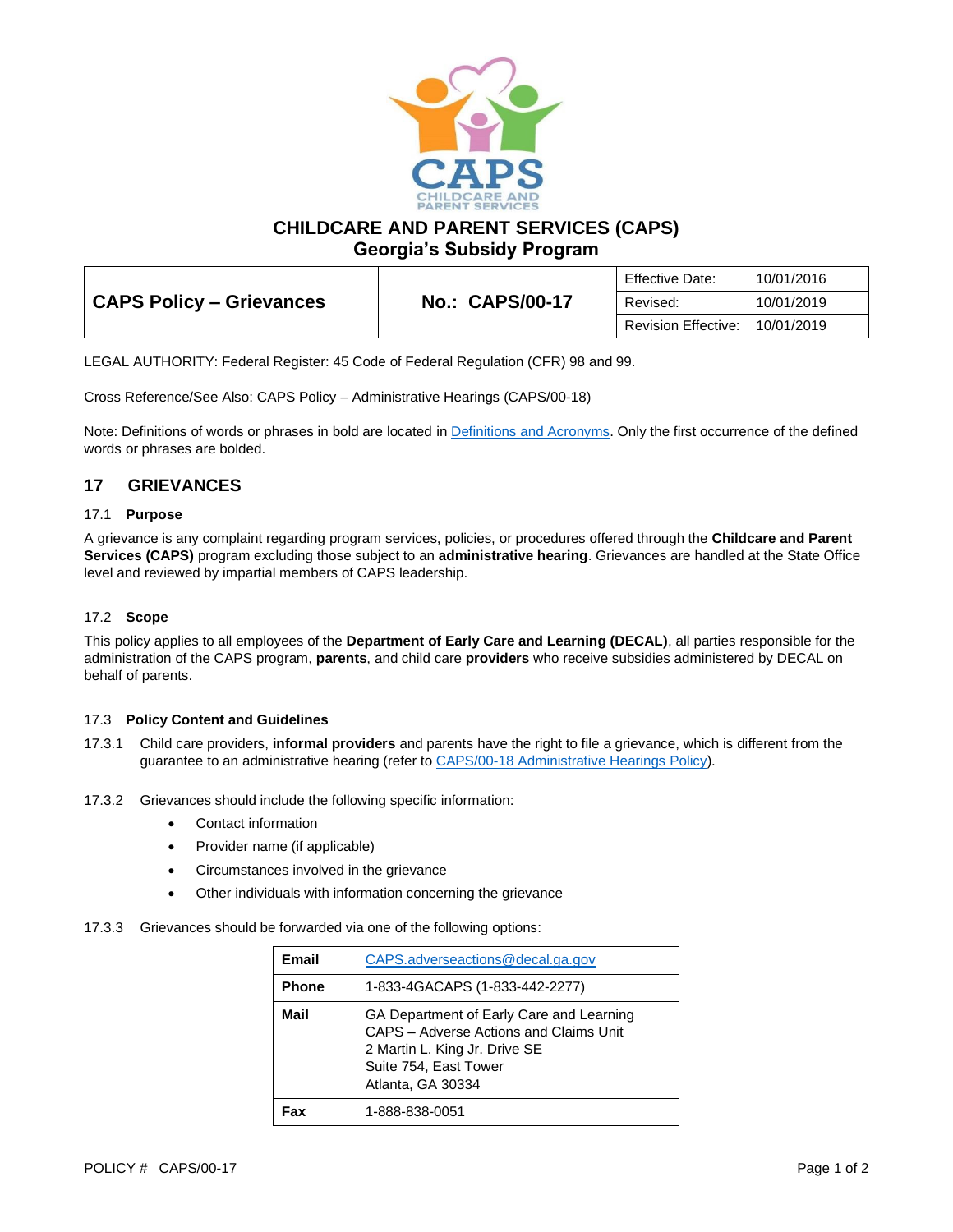

**CHILDCARE AND PARENT SERVICES (CAPS)**

**Georgia's Subsidy Program**

|                          |                        | Effective Date:     | 10/01/2016 |
|--------------------------|------------------------|---------------------|------------|
| CAPS Policy – Grievances | <b>No.: CAPS/00-17</b> | Revised:            | 10/01/2019 |
|                          |                        | Revision Effective: | 10/01/2019 |

LEGAL AUTHORITY: Federal Register: 45 Code of Federal Regulation (CFR) 98 and 99.

Cross Reference/See Also: CAPS Policy – Administrative Hearings (CAPS/00-18)

Note: Definitions of words or phrases in bold are located i[n Definitions and Acronyms.](https://caps.decal.ga.gov/assets/downloads/CAPS/02-CAPS_Policy-Definitions%20and%20Acronyms.pdf) Only the first occurrence of the defined words or phrases are bolded.

## **17 GRIEVANCES**

#### 17.1 **Purpose**

A grievance is any complaint regarding program services, policies, or procedures offered through the **Childcare and Parent Services (CAPS)** program excluding those subject to an **administrative hearing**. Grievances are handled at the State Office level and reviewed by impartial members of CAPS leadership.

### 17.2 **Scope**

This policy applies to all employees of the **Department of Early Care and Learning (DECAL)**, all parties responsible for the administration of the CAPS program, **parents**, and child care **providers** who receive subsidies administered by DECAL on behalf of parents.

#### 17.3 **Policy Content and Guidelines**

- 17.3.1 Child care providers, **informal providers** and parents have the right to file a grievance, which is different from the guarantee to an administrative hearing (refer to [CAPS/00-18 Administrative Hearings Policy\)](https://caps.decal.ga.gov/assets/downloads/CAPS/18-CAPS_Policy-Administrative%20Hearings.pdf).
- 17.3.2 Grievances should include the following specific information:
	- Contact information
	- Provider name (if applicable)
	- Circumstances involved in the grievance
	- Other individuals with information concerning the grievance
- 17.3.3 Grievances should be forwarded via one of the following options:

| Email        | CAPS.adverseactions@decal.ga.gov                                                                                                                                  |
|--------------|-------------------------------------------------------------------------------------------------------------------------------------------------------------------|
| <b>Phone</b> | 1-833-4GACAPS (1-833-442-2277)                                                                                                                                    |
| Mail         | GA Department of Early Care and Learning<br>CAPS - Adverse Actions and Claims Unit<br>2 Martin L. King Jr. Drive SE<br>Suite 754, East Tower<br>Atlanta, GA 30334 |
| ำ            | 1-888-838-0051                                                                                                                                                    |